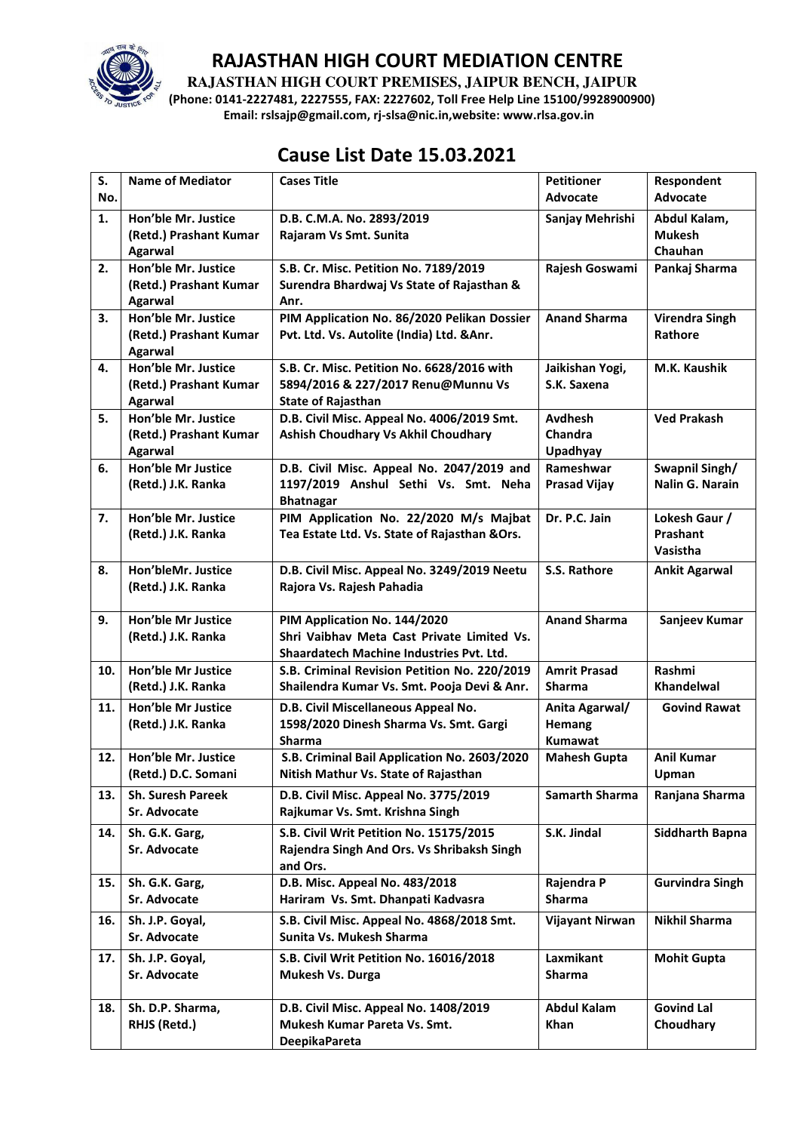

**RAJASTHAN HIGH COURT PREMISES, JAIPUR BENCH, JAIPUR** 

**(Phone: 0141-2227481, 2227555, FAX: 2227602, Toll Free Help Line 15100/9928900900) Email: rslsajp@gmail.com, rj-slsa@nic.in,website: www.rlsa.gov.in** 

## **Cause List Date 15.03.2021**

| S.  | <b>Name of Mediator</b>                  | <b>Cases Title</b>                                                                   | <b>Petitioner</b>                 | Respondent                     |
|-----|------------------------------------------|--------------------------------------------------------------------------------------|-----------------------------------|--------------------------------|
| No. |                                          |                                                                                      | <b>Advocate</b>                   | <b>Advocate</b>                |
| 1.  | Hon'ble Mr. Justice                      | D.B. C.M.A. No. 2893/2019                                                            | Sanjay Mehrishi                   | Abdul Kalam,                   |
|     | (Retd.) Prashant Kumar                   | Rajaram Vs Smt. Sunita                                                               |                                   | <b>Mukesh</b>                  |
|     | <b>Agarwal</b>                           |                                                                                      |                                   | Chauhan                        |
| 2.  | Hon'ble Mr. Justice                      | S.B. Cr. Misc. Petition No. 7189/2019                                                | Rajesh Goswami                    | Pankaj Sharma                  |
|     | (Retd.) Prashant Kumar<br><b>Agarwal</b> | Surendra Bhardwaj Vs State of Rajasthan &<br>Anr.                                    |                                   |                                |
| 3.  | Hon'ble Mr. Justice                      | PIM Application No. 86/2020 Pelikan Dossier                                          | <b>Anand Sharma</b>               | <b>Virendra Singh</b>          |
|     | (Retd.) Prashant Kumar                   | Pvt. Ltd. Vs. Autolite (India) Ltd. & Anr.                                           |                                   | Rathore                        |
|     | Agarwal                                  |                                                                                      |                                   |                                |
| 4.  | Hon'ble Mr. Justice                      | S.B. Cr. Misc. Petition No. 6628/2016 with                                           | Jaikishan Yogi,                   | M.K. Kaushik                   |
|     | (Retd.) Prashant Kumar                   | 5894/2016 & 227/2017 Renu@Munnu Vs                                                   | S.K. Saxena                       |                                |
|     | Agarwal                                  | <b>State of Rajasthan</b>                                                            |                                   |                                |
| 5.  | Hon'ble Mr. Justice                      | D.B. Civil Misc. Appeal No. 4006/2019 Smt.                                           | <b>Avdhesh</b>                    | <b>Ved Prakash</b>             |
|     | (Retd.) Prashant Kumar                   | Ashish Choudhary Vs Akhil Choudhary                                                  | Chandra                           |                                |
|     | Agarwal                                  |                                                                                      | <b>Upadhyay</b>                   |                                |
| 6.  | Hon'ble Mr Justice                       | D.B. Civil Misc. Appeal No. 2047/2019 and                                            | Rameshwar                         | Swapnil Singh/                 |
|     | (Retd.) J.K. Ranka                       | 1197/2019 Anshul Sethi Vs. Smt. Neha                                                 | <b>Prasad Vijay</b>               | <b>Nalin G. Narain</b>         |
| 7.  | Hon'ble Mr. Justice                      | <b>Bhatnagar</b><br>PIM Application No. 22/2020 M/s Majbat                           | Dr. P.C. Jain                     | Lokesh Gaur /                  |
|     | (Retd.) J.K. Ranka                       | Tea Estate Ltd. Vs. State of Rajasthan & Ors.                                        |                                   | Prashant                       |
|     |                                          |                                                                                      |                                   | Vasistha                       |
| 8.  | Hon'bleMr. Justice                       | D.B. Civil Misc. Appeal No. 3249/2019 Neetu                                          | S.S. Rathore                      | <b>Ankit Agarwal</b>           |
|     | (Retd.) J.K. Ranka                       | Rajora Vs. Rajesh Pahadia                                                            |                                   |                                |
|     |                                          |                                                                                      |                                   |                                |
| 9.  | <b>Hon'ble Mr Justice</b>                | PIM Application No. 144/2020                                                         | <b>Anand Sharma</b>               | Sanjeev Kumar                  |
|     | (Retd.) J.K. Ranka                       | Shri Vaibhav Meta Cast Private Limited Vs.                                           |                                   |                                |
|     |                                          | Shaardatech Machine Industries Pvt. Ltd.                                             |                                   |                                |
| 10. | <b>Hon'ble Mr Justice</b>                | S.B. Criminal Revision Petition No. 220/2019                                         | <b>Amrit Prasad</b>               | Rashmi                         |
|     | (Retd.) J.K. Ranka                       | Shailendra Kumar Vs. Smt. Pooja Devi & Anr.                                          | <b>Sharma</b>                     | <b>Khandelwal</b>              |
| 11. | Hon'ble Mr Justice                       | D.B. Civil Miscellaneous Appeal No.                                                  | Anita Agarwal/                    | <b>Govind Rawat</b>            |
|     | (Retd.) J.K. Ranka                       | 1598/2020 Dinesh Sharma Vs. Smt. Gargi                                               | Hemang                            |                                |
|     | Hon'ble Mr. Justice                      | <b>Sharma</b>                                                                        | Kumawat                           | <b>Anil Kumar</b>              |
| 12. | (Retd.) D.C. Somani                      | S.B. Criminal Bail Application No. 2603/2020<br>Nitish Mathur Vs. State of Rajasthan | <b>Mahesh Gupta</b>               | Upman                          |
|     |                                          |                                                                                      |                                   |                                |
| 13. | <b>Sh. Suresh Pareek</b>                 | D.B. Civil Misc. Appeal No. 3775/2019                                                | <b>Samarth Sharma</b>             | Ranjana Sharma                 |
|     | Sr. Advocate                             | Rajkumar Vs. Smt. Krishna Singh                                                      |                                   |                                |
| 14. | Sh. G.K. Garg,                           | S.B. Civil Writ Petition No. 15175/2015                                              | S.K. Jindal                       | <b>Siddharth Bapna</b>         |
|     | Sr. Advocate                             | Rajendra Singh And Ors. Vs Shribaksh Singh<br>and Ors.                               |                                   |                                |
| 15. | Sh. G.K. Garg,                           | D.B. Misc. Appeal No. 483/2018                                                       | Rajendra P                        | <b>Gurvindra Singh</b>         |
|     | Sr. Advocate                             | Hariram Vs. Smt. Dhanpati Kadvasra                                                   | <b>Sharma</b>                     |                                |
|     | Sh. J.P. Goyal,                          | S.B. Civil Misc. Appeal No. 4868/2018 Smt.                                           |                                   | <b>Nikhil Sharma</b>           |
| 16. |                                          |                                                                                      | Vijayant Nirwan                   |                                |
|     |                                          |                                                                                      |                                   |                                |
|     | Sr. Advocate                             | Sunita Vs. Mukesh Sharma                                                             |                                   |                                |
| 17. | Sh. J.P. Goyal,                          | S.B. Civil Writ Petition No. 16016/2018                                              | Laxmikant                         | <b>Mohit Gupta</b>             |
|     | Sr. Advocate                             | Mukesh Vs. Durga                                                                     | <b>Sharma</b>                     |                                |
|     |                                          |                                                                                      |                                   |                                |
| 18. | Sh. D.P. Sharma,<br>RHJS (Retd.)         | D.B. Civil Misc. Appeal No. 1408/2019<br>Mukesh Kumar Pareta Vs. Smt.                | <b>Abdul Kalam</b><br><b>Khan</b> | <b>Govind Lal</b><br>Choudhary |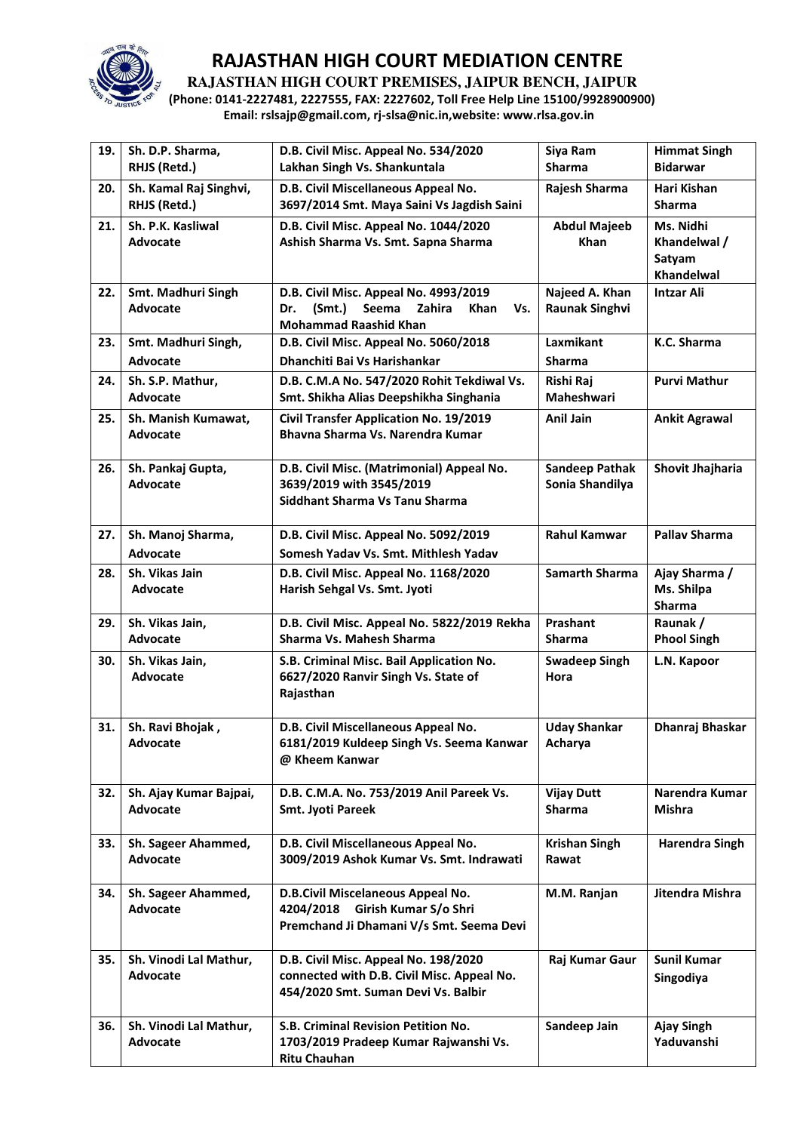

**RAJASTHAN HIGH COURT PREMISES, JAIPUR BENCH, JAIPUR** 

**(Phone: 0141-2227481, 2227555, FAX: 2227602, Toll Free Help Line 15100/9928900900) Email: rslsajp@gmail.com, rj-slsa@nic.in,website: www.rlsa.gov.in** 

| 19. | Sh. D.P. Sharma,<br>RHJS (Retd.)          | D.B. Civil Misc. Appeal No. 534/2020<br>Lakhan Singh Vs. Shankuntala                                                      | Siya Ram<br><b>Sharma</b>                | <b>Himmat Singh</b><br><b>Bidarwar</b>            |
|-----|-------------------------------------------|---------------------------------------------------------------------------------------------------------------------------|------------------------------------------|---------------------------------------------------|
| 20. | Sh. Kamal Raj Singhvi,<br>RHJS (Retd.)    | D.B. Civil Miscellaneous Appeal No.<br>3697/2014 Smt. Maya Saini Vs Jagdish Saini                                         | Rajesh Sharma                            | Hari Kishan<br><b>Sharma</b>                      |
| 21. | Sh. P.K. Kasliwal<br><b>Advocate</b>      | D.B. Civil Misc. Appeal No. 1044/2020<br>Ashish Sharma Vs. Smt. Sapna Sharma                                              | <b>Abdul Majeeb</b><br><b>Khan</b>       | Ms. Nidhi<br>Khandelwal /<br>Satyam<br>Khandelwal |
| 22. | Smt. Madhuri Singh<br><b>Advocate</b>     | D.B. Civil Misc. Appeal No. 4993/2019<br>(Smt.)<br>Seema<br>Zahira<br>Dr.<br>Khan<br>Vs.<br><b>Mohammad Raashid Khan</b>  | Najeed A. Khan<br><b>Raunak Singhvi</b>  | <b>Intzar Ali</b>                                 |
| 23. | Smt. Madhuri Singh,<br><b>Advocate</b>    | D.B. Civil Misc. Appeal No. 5060/2018<br>Dhanchiti Bai Vs Harishankar                                                     | Laxmikant<br>Sharma                      | K.C. Sharma                                       |
| 24. | Sh. S.P. Mathur,<br>Advocate              | D.B. C.M.A No. 547/2020 Rohit Tekdiwal Vs.<br>Smt. Shikha Alias Deepshikha Singhania                                      | Rishi Raj<br>Maheshwari                  | <b>Purvi Mathur</b>                               |
| 25. | Sh. Manish Kumawat,<br><b>Advocate</b>    | <b>Civil Transfer Application No. 19/2019</b><br>Bhavna Sharma Vs. Narendra Kumar                                         | <b>Anil Jain</b>                         | <b>Ankit Agrawal</b>                              |
| 26. | Sh. Pankaj Gupta,<br><b>Advocate</b>      | D.B. Civil Misc. (Matrimonial) Appeal No.<br>3639/2019 with 3545/2019<br>Siddhant Sharma Vs Tanu Sharma                   | <b>Sandeep Pathak</b><br>Sonia Shandilya | Shovit Jhajharia                                  |
| 27. | Sh. Manoj Sharma,<br><b>Advocate</b>      | D.B. Civil Misc. Appeal No. 5092/2019<br>Somesh Yadav Vs. Smt. Mithlesh Yadav                                             | <b>Rahul Kamwar</b>                      | <b>Pallav Sharma</b>                              |
| 28. | Sh. Vikas Jain<br>Advocate                | D.B. Civil Misc. Appeal No. 1168/2020<br>Harish Sehgal Vs. Smt. Jyoti                                                     | <b>Samarth Sharma</b>                    | Ajay Sharma /<br>Ms. Shilpa<br><b>Sharma</b>      |
| 29. | Sh. Vikas Jain,<br><b>Advocate</b>        | D.B. Civil Misc. Appeal No. 5822/2019 Rekha<br>Sharma Vs. Mahesh Sharma                                                   | Prashant<br><b>Sharma</b>                | Raunak /<br><b>Phool Singh</b>                    |
| 30. | Sh. Vikas Jain,<br><b>Advocate</b>        | S.B. Criminal Misc. Bail Application No.<br>6627/2020 Ranvir Singh Vs. State of<br>Rajasthan                              | <b>Swadeep Singh</b><br>Hora             | L.N. Kapoor                                       |
| 31. | Sh. Ravi Bhojak,<br>Advocate              | D.B. Civil Miscellaneous Appeal No.<br>6181/2019 Kuldeep Singh Vs. Seema Kanwar<br>@ Kheem Kanwar                         | <b>Uday Shankar</b><br>Acharya           | Dhanraj Bhaskar                                   |
| 32. | Sh. Ajay Kumar Bajpai,<br><b>Advocate</b> | D.B. C.M.A. No. 753/2019 Anil Pareek Vs.<br>Smt. Jyoti Pareek                                                             | <b>Vijay Dutt</b><br><b>Sharma</b>       | Narendra Kumar<br><b>Mishra</b>                   |
| 33. | Sh. Sageer Ahammed,<br><b>Advocate</b>    | D.B. Civil Miscellaneous Appeal No.<br>3009/2019 Ashok Kumar Vs. Smt. Indrawati                                           | <b>Krishan Singh</b><br>Rawat            | <b>Harendra Singh</b>                             |
| 34. | Sh. Sageer Ahammed,<br><b>Advocate</b>    | D.B.Civil Miscelaneous Appeal No.<br>4204/2018<br>Girish Kumar S/o Shri<br>Premchand Ji Dhamani V/s Smt. Seema Devi       | M.M. Ranjan                              | Jitendra Mishra                                   |
| 35. | Sh. Vinodi Lal Mathur,<br><b>Advocate</b> | D.B. Civil Misc. Appeal No. 198/2020<br>connected with D.B. Civil Misc. Appeal No.<br>454/2020 Smt. Suman Devi Vs. Balbir | Raj Kumar Gaur                           | <b>Sunil Kumar</b><br>Singodiya                   |
| 36. | Sh. Vinodi Lal Mathur,<br><b>Advocate</b> | S.B. Criminal Revision Petition No.<br>1703/2019 Pradeep Kumar Rajwanshi Vs.<br><b>Ritu Chauhan</b>                       | Sandeep Jain                             | <b>Ajay Singh</b><br>Yaduvanshi                   |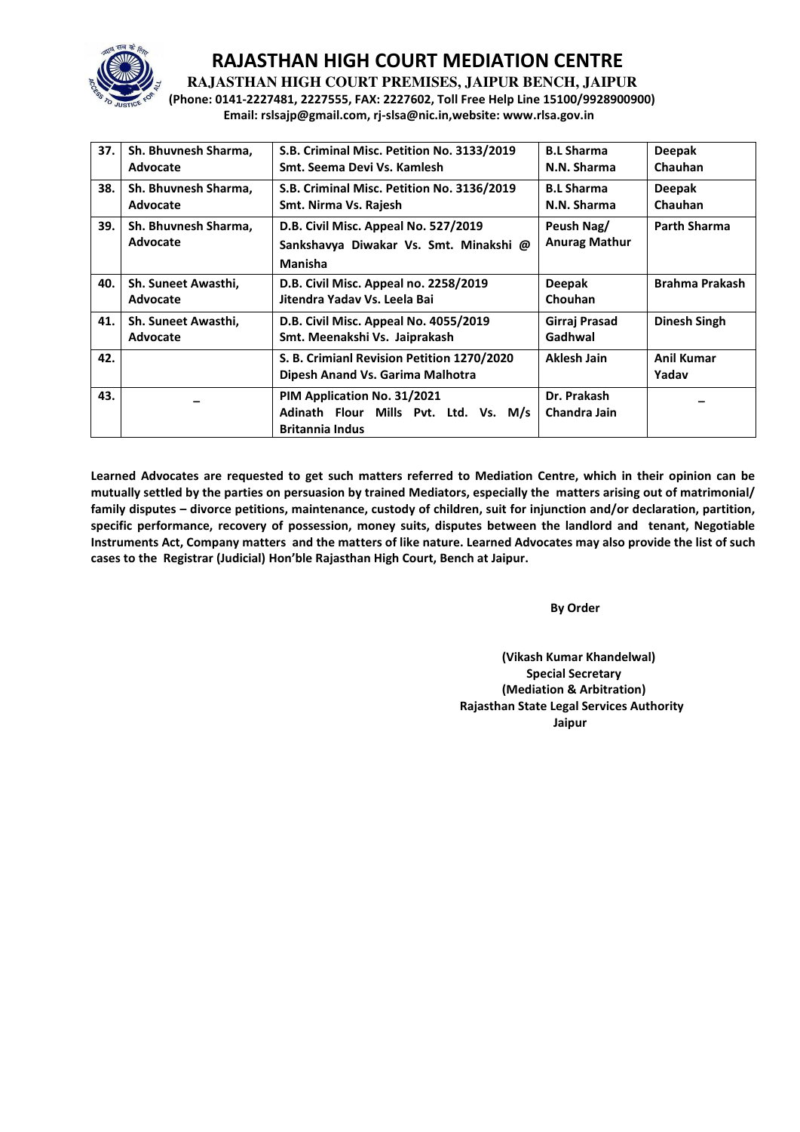

**RAJASTHAN HIGH COURT PREMISES, JAIPUR BENCH, JAIPUR** 

**(Phone: 0141-2227481, 2227555, FAX: 2227602, Toll Free Help Line 15100/9928900900) Email: rslsajp@gmail.com, rj-slsa@nic.in,website: www.rlsa.gov.in** 

| 37. | Sh. Bhuvnesh Sharma,<br>Advocate | S.B. Criminal Misc. Petition No. 3133/2019<br>Smt. Seema Devi Vs. Kamlesh                      | <b>B.L Sharma</b><br>N.N. Sharma   | <b>Deepak</b><br>Chauhan   |
|-----|----------------------------------|------------------------------------------------------------------------------------------------|------------------------------------|----------------------------|
| 38. | Sh. Bhuvnesh Sharma,<br>Advocate | S.B. Criminal Misc. Petition No. 3136/2019<br>Smt. Nirma Vs. Rajesh                            | <b>B.L Sharma</b><br>N.N. Sharma   | <b>Deepak</b><br>Chauhan   |
| 39. | Sh. Bhuvnesh Sharma,<br>Advocate | D.B. Civil Misc. Appeal No. 527/2019<br>Sankshavya Diwakar Vs. Smt. Minakshi @<br>Manisha      | Peush Nag/<br><b>Anurag Mathur</b> | <b>Parth Sharma</b>        |
| 40. | Sh. Suneet Awasthi,<br>Advocate  | D.B. Civil Misc. Appeal no. 2258/2019<br>Jitendra Yadav Vs. Leela Bai                          | <b>Deepak</b><br>Chouhan           | <b>Brahma Prakash</b>      |
| 41. | Sh. Suneet Awasthi,<br>Advocate  | D.B. Civil Misc. Appeal No. 4055/2019<br>Smt. Meenakshi Vs. Jaiprakash                         | Girraj Prasad<br>Gadhwal           | Dinesh Singh               |
| 42. |                                  | S. B. Crimianl Revision Petition 1270/2020<br>Dipesh Anand Vs. Garima Malhotra                 | Aklesh Jain                        | <b>Anil Kumar</b><br>Yadav |
| 43. |                                  | PIM Application No. 31/2021<br>Adinath Flour Mills Pvt. Ltd. Vs. M/s<br><b>Britannia Indus</b> | Dr. Prakash<br>Chandra Jain        |                            |

**Learned Advocates are requested to get such matters referred to Mediation Centre, which in their opinion can be mutually settled by the parties on persuasion by trained Mediators, especially the matters arising out of matrimonial/ family disputes – divorce petitions, maintenance, custody of children, suit for injunction and/or declaration, partition, specific performance, recovery of possession, money suits, disputes between the landlord and tenant, Negotiable Instruments Act, Company matters and the matters of like nature. Learned Advocates may also provide the list of such cases to the Registrar (Judicial) Hon'ďle Rajasthan High Court, Bench at Jaipur.** 

**By Order** 

**(Vikash Kumar Khandelwal) Special Secretary (Mediation & Arbitration) Rajasthan State Legal Services Authority**  الم المسابق المسابق المسابق المسابق المسابق المسابق المسابق المسابق المسابق المسابق المسابق المسابق المسابق ا<br>المسابق المسابق المسابق المسابق المسابق المسابق المسابق المسابق المسابق المسابق المسابق المسابق المسابق المس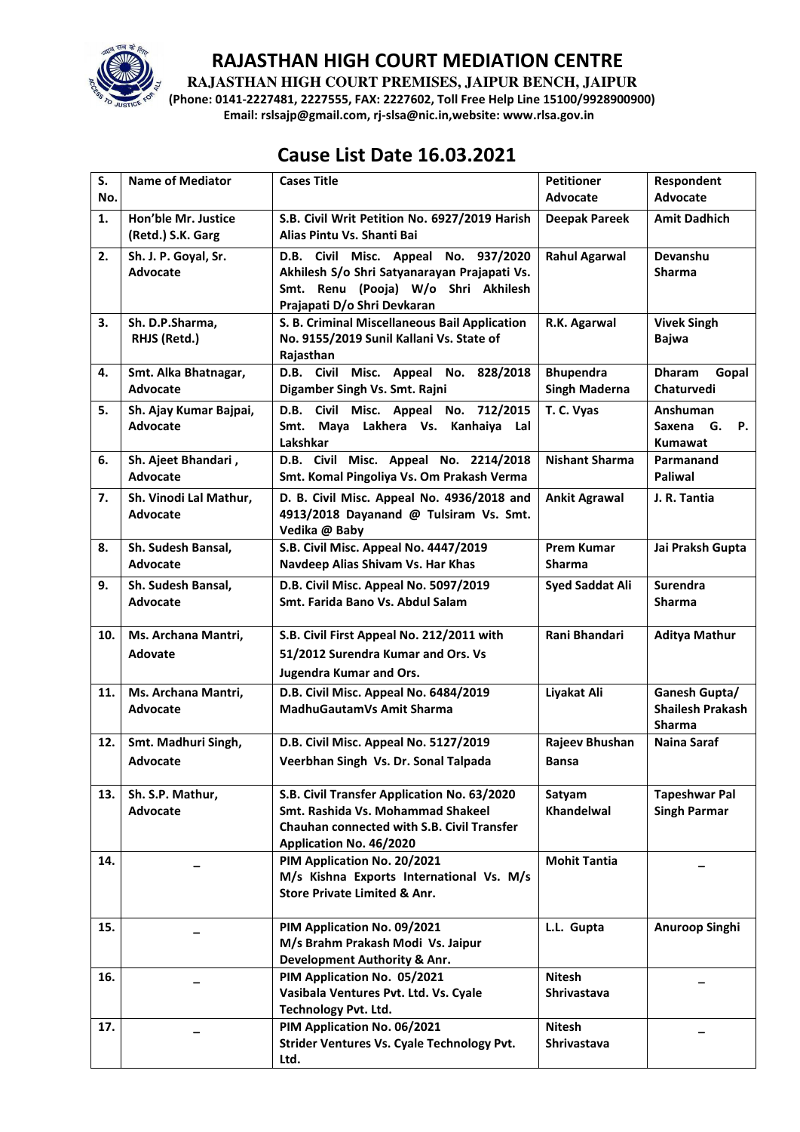

**RAJASTHAN HIGH COURT PREMISES, JAIPUR BENCH, JAIPUR** 

**(Phone: 0141-2227481, 2227555, FAX: 2227602, Toll Free Help Line 15100/9928900900) Email: rslsajp@gmail.com, rj-slsa@nic.in,website: www.rlsa.gov.in** 

# **Cause List Date 16.03.2021**

| S.<br>No. | <b>Name of Mediator</b>         | <b>Cases Title</b>                                                                     | <b>Petitioner</b><br><b>Advocate</b> | Respondent<br>Advocate                   |
|-----------|---------------------------------|----------------------------------------------------------------------------------------|--------------------------------------|------------------------------------------|
| 1.        | Hon'ble Mr. Justice             | S.B. Civil Writ Petition No. 6927/2019 Harish                                          | <b>Deepak Pareek</b>                 | <b>Amit Dadhich</b>                      |
|           | (Retd.) S.K. Garg               | Alias Pintu Vs. Shanti Bai                                                             |                                      |                                          |
| 2.        | Sh. J. P. Goyal, Sr.            | D.B. Civil Misc. Appeal No. 937/2020                                                   | <b>Rahul Agarwal</b>                 | Devanshu                                 |
|           | Advocate                        | Akhilesh S/o Shri Satyanarayan Prajapati Vs.<br>Smt. Renu (Pooja) W/o Shri Akhilesh    |                                      | <b>Sharma</b>                            |
|           |                                 | Prajapati D/o Shri Devkaran                                                            |                                      |                                          |
| 3.        | Sh. D.P.Sharma,                 | S. B. Criminal Miscellaneous Bail Application                                          | R.K. Agarwal                         | <b>Vivek Singh</b>                       |
|           | RHJS (Retd.)                    | No. 9155/2019 Sunil Kallani Vs. State of                                               |                                      | <b>Bajwa</b>                             |
| 4.        | Smt. Alka Bhatnagar,            | Rajasthan<br>D.B. Civil Misc. Appeal No. 828/2018                                      | <b>Bhupendra</b>                     | <b>Dharam</b><br>Gopal                   |
|           | Advocate                        | Digamber Singh Vs. Smt. Rajni                                                          | <b>Singh Maderna</b>                 | Chaturvedi                               |
| 5.        | Sh. Ajay Kumar Bajpai,          | D.B. Civil Misc. Appeal No. 712/2015                                                   | T. C. Vyas                           | Anshuman                                 |
|           | <b>Advocate</b>                 | Maya Lakhera Vs. Kanhaiya Lal<br>Smt.                                                  |                                      | G.<br><b>P.</b><br>Saxena                |
|           |                                 | Lakshkar<br>D.B. Civil Misc. Appeal No. 2214/2018                                      | <b>Nishant Sharma</b>                | <b>Kumawat</b><br>Parmanand              |
| 6.        | Sh. Ajeet Bhandari,<br>Advocate | Smt. Komal Pingoliya Vs. Om Prakash Verma                                              |                                      | Paliwal                                  |
| 7.        | Sh. Vinodi Lal Mathur,          | D. B. Civil Misc. Appeal No. 4936/2018 and                                             | <b>Ankit Agrawal</b>                 | J. R. Tantia                             |
|           | Advocate                        | 4913/2018 Dayanand @ Tulsiram Vs. Smt.                                                 |                                      |                                          |
|           |                                 | Vedika @ Baby                                                                          |                                      |                                          |
| 8.        | Sh. Sudesh Bansal,<br>Advocate  | S.B. Civil Misc. Appeal No. 4447/2019<br>Navdeep Alias Shivam Vs. Har Khas             | <b>Prem Kumar</b><br><b>Sharma</b>   | Jai Praksh Gupta                         |
| 9.        | Sh. Sudesh Bansal,              | D.B. Civil Misc. Appeal No. 5097/2019                                                  | <b>Syed Saddat Ali</b>               | Surendra                                 |
|           | <b>Advocate</b>                 | Smt. Farida Bano Vs. Abdul Salam                                                       |                                      | <b>Sharma</b>                            |
|           |                                 |                                                                                        |                                      |                                          |
| 10.       | Ms. Archana Mantri,             | S.B. Civil First Appeal No. 212/2011 with                                              | Rani Bhandari                        | <b>Aditya Mathur</b>                     |
|           | <b>Adovate</b>                  | 51/2012 Surendra Kumar and Ors. Vs                                                     |                                      |                                          |
|           |                                 | <b>Jugendra Kumar and Ors.</b>                                                         |                                      |                                          |
| 11.       | Ms. Archana Mantri,             | D.B. Civil Misc. Appeal No. 6484/2019                                                  | Liyakat Ali                          | Ganesh Gupta/                            |
|           | <b>Advocate</b>                 | MadhuGautamVs Amit Sharma                                                              |                                      | <b>Shailesh Prakash</b><br><b>Sharma</b> |
| 12.       | Smt. Madhuri Singh,             | D.B. Civil Misc. Appeal No. 5127/2019                                                  | Rajeev Bhushan                       | <b>Naina Saraf</b>                       |
|           | <b>Advocate</b>                 | Veerbhan Singh Vs. Dr. Sonal Talpada                                                   | <b>Bansa</b>                         |                                          |
|           |                                 |                                                                                        |                                      |                                          |
| 13.       | Sh. S.P. Mathur,                | S.B. Civil Transfer Application No. 63/2020                                            | Satyam                               | <b>Tapeshwar Pal</b>                     |
|           | Advocate                        | Smt. Rashida Vs. Mohammad Shakeel<br><b>Chauhan connected with S.B. Civil Transfer</b> | Khandelwal                           | <b>Singh Parmar</b>                      |
|           |                                 | Application No. 46/2020                                                                |                                      |                                          |
| 14.       |                                 | PIM Application No. 20/2021                                                            | <b>Mohit Tantia</b>                  |                                          |
|           |                                 | M/s Kishna Exports International Vs. M/s                                               |                                      |                                          |
|           |                                 | <b>Store Private Limited &amp; Anr.</b>                                                |                                      |                                          |
| 15.       |                                 | PIM Application No. 09/2021                                                            | L.L. Gupta                           | Anuroop Singhi                           |
|           |                                 | M/s Brahm Prakash Modi Vs. Jaipur                                                      |                                      |                                          |
|           |                                 | Development Authority & Anr.                                                           |                                      |                                          |
| 16.       |                                 | PIM Application No. 05/2021                                                            | <b>Nitesh</b>                        |                                          |
|           |                                 | Vasibala Ventures Pvt. Ltd. Vs. Cyale<br><b>Technology Pvt. Ltd.</b>                   | <b>Shrivastava</b>                   |                                          |
| 17.       |                                 | PIM Application No. 06/2021                                                            | <b>Nitesh</b>                        |                                          |
|           |                                 | Strider Ventures Vs. Cyale Technology Pvt.                                             | <b>Shrivastava</b>                   |                                          |
|           |                                 | Ltd.                                                                                   |                                      |                                          |